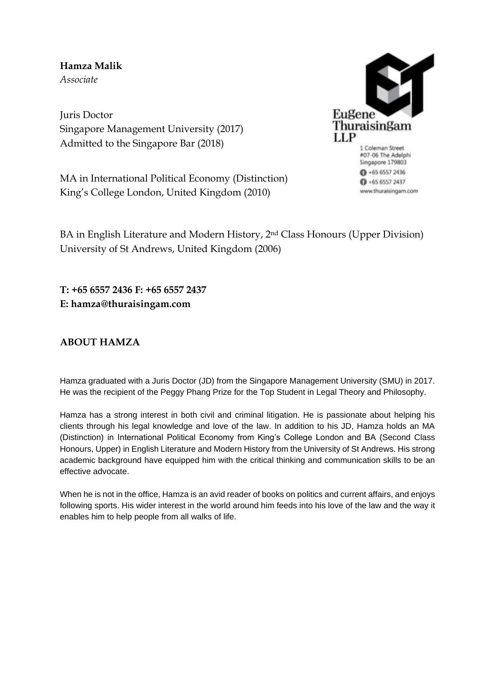**Hamza Malik** *Associate*

Juris Doctor Singapore Management University (2017) Admitted to the Singapore Bar (2018)

MA in International Political Economy (Distinction) King's College London, United Kingdom (2010)



#07-06 The Adelphi Singapore 179803  $0 + 6565572436$  $0 + 6565572437$ www.thuraisingam.com

BA in English Literature and Modern History, 2nd Class Honours (Upper Division) University of St Andrews, United Kingdom (2006)

**T: +65 6557 2436 F: +65 6557 2437 E: hamza@thuraisingam.com**

# **ABOUT HAMZA**

Hamza graduated with a Juris Doctor (JD) from the Singapore Management University (SMU) in 2017. He was the recipient of the Peggy Phang Prize for the Top Student in Legal Theory and Philosophy.

Hamza has a strong interest in both civil and criminal litigation. He is passionate about helping his clients through his legal knowledge and love of the law. In addition to his JD, Hamza holds an MA (Distinction) in International Political Economy from King's College London and BA (Second Class Honours, Upper) in English Literature and Modern History from the University of St Andrews. His strong academic background have equipped him with the critical thinking and communication skills to be an effective advocate.

When he is not in the office, Hamza is an avid reader of books on politics and current affairs, and enjoys following sports. His wider interest in the world around him feeds into his love of the law and the way it enables him to help people from all walks of life.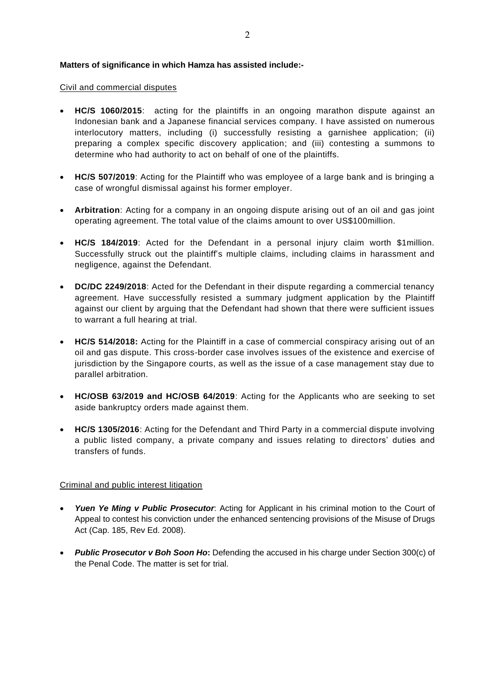### **Matters of significance in which Hamza has assisted include:-**

#### Civil and commercial disputes

- **HC/S 1060/2015**: acting for the plaintiffs in an ongoing marathon dispute against an Indonesian bank and a Japanese financial services company. I have assisted on numerous interlocutory matters, including (i) successfully resisting a garnishee application; (ii) preparing a complex specific discovery application; and (iii) contesting a summons to determine who had authority to act on behalf of one of the plaintiffs.
- **HC/S 507/2019**: Acting for the Plaintiff who was employee of a large bank and is bringing a case of wrongful dismissal against his former employer.
- **Arbitration**: Acting for a company in an ongoing dispute arising out of an oil and gas joint operating agreement. The total value of the claims amount to over US\$100million.
- **HC/S 184/2019**: Acted for the Defendant in a personal injury claim worth \$1million. Successfully struck out the plaintiff's multiple claims, including claims in harassment and negligence, against the Defendant.
- **DC/DC 2249/2018**: Acted for the Defendant in their dispute regarding a commercial tenancy agreement. Have successfully resisted a summary judgment application by the Plaintiff against our client by arguing that the Defendant had shown that there were sufficient issues to warrant a full hearing at trial.
- **HC/S 514/2018:** Acting for the Plaintiff in a case of commercial conspiracy arising out of an oil and gas dispute. This cross-border case involves issues of the existence and exercise of jurisdiction by the Singapore courts, as well as the issue of a case management stay due to parallel arbitration.
- **HC/OSB 63/2019 and HC/OSB 64/2019**: Acting for the Applicants who are seeking to set aside bankruptcy orders made against them.
- **HC/S 1305/2016**: Acting for the Defendant and Third Party in a commercial dispute involving a public listed company, a private company and issues relating to directors' duties and transfers of funds.

# Criminal and public interest litigation

- *Yuen Ye Ming v Public Prosecutor*: Acting for Applicant in his criminal motion to the Court of Appeal to contest his conviction under the enhanced sentencing provisions of the Misuse of Drugs Act (Cap. 185, Rev Ed. 2008).
- **Public Prosecutor v Boh Soon Ho:** Defending the accused in his charge under Section 300(c) of the Penal Code. The matter is set for trial.